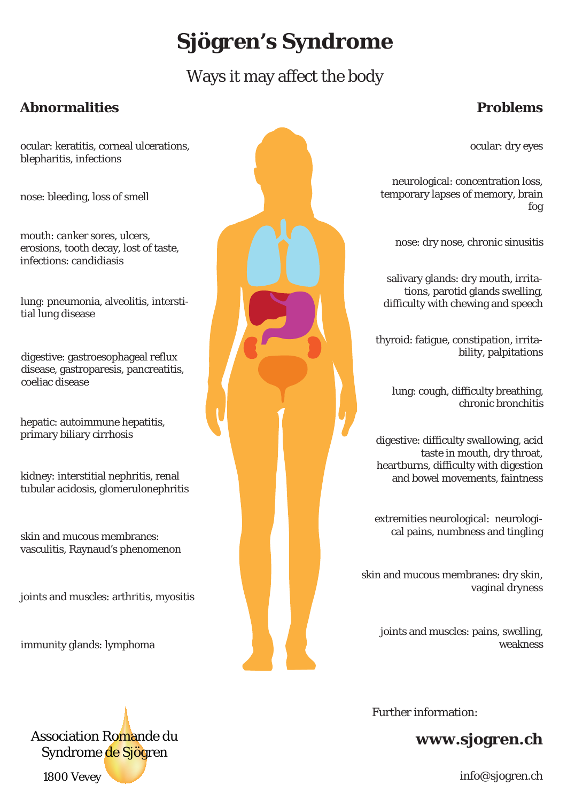# **Sjögren's Syndrome**

## Ways it may affect the body

#### **Abnormalities Problems**

#### ocular: keratitis, corneal ulcerations, blepharitis, infections

nose: bleeding, loss of smell

nouth: canker sores, ulcers, the change of the change of the change of the change of the change of the change of the change of the change of the change of the change of the change of the change of the change of the change erosions, tooth decay, lost of taste, infections: candidiasis

tions, parotid glands swelling, https://www.interstite.com/web/2008/2009/2009/2009/2009/2013/2013/2014/2014/2014<br>The difficulty with chewing and speech tial lung disease

digestive: gastroesophageal reflux disease, gastroparesis, pancreatitis, coeliac disease

hepatic: autoimmune hepatitis, primary biliary cirrhosis

kidney: interstitial nephritis, renal tubular acidosis, glomerulonephritis

skin and mucous membranes: vasculitis, Raynaud's phenomenon

joints and muscles: arthritis, myositis

immunity glands: lymphoma

Association Romande du Syndrome de Sjögren

1800 Vevey

Further information:

### **www.sjogren.ch**

ocular: dry eyes

neurological: concentration loss, temporary lapses of memory, brain fog

salivary glands: dry mouth, irrita-

thyroid: fatigue, constipation, irritability, palpitations

lung: cough, difficulty breathing, chronic bronchitis

digestive: difficulty swallowing, acid taste in mouth, dry throat, heartburns, difficulty with digestion and bowel movements, faintness

extremities neurological: neurological pains, numbness and tingling

skin and mucous membranes: dry skin, vaginal dryness

joints and muscles: pains, swelling, weakness

info@sjogren.ch